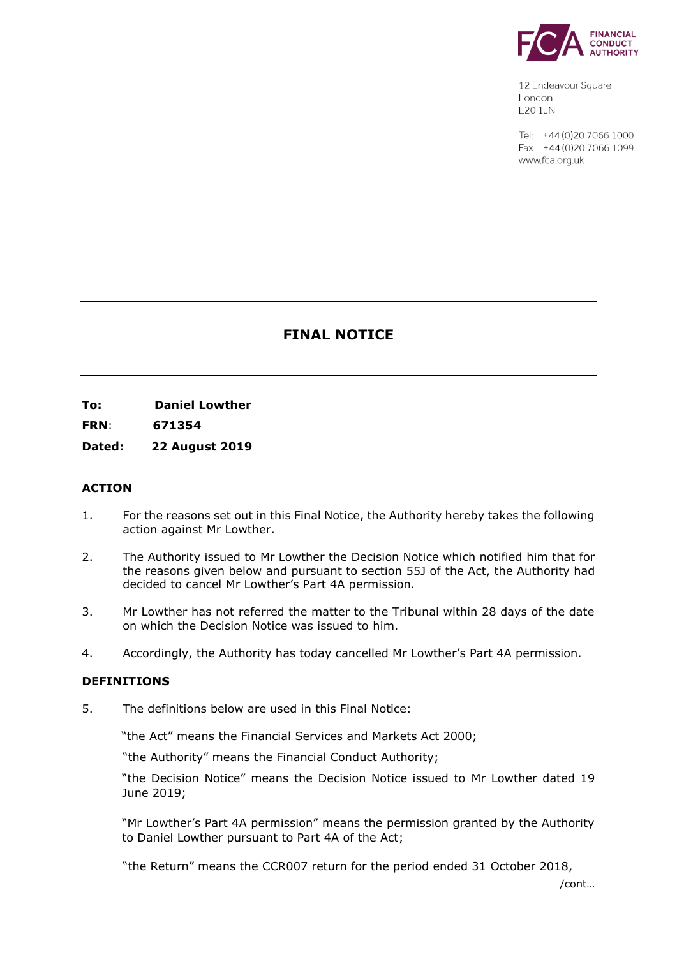

12 Endeavour Square London F201.JN

Tel: +44 (0) 20 7066 1000  $Fax + 44(0)2070661099$ www.fca.org.uk

# **FINAL NOTICE**

**To: Daniel Lowther** 

**FRN**: **671354**

**Dated: 22 August 2019**

# **ACTION**

- 1. For the reasons set out in this Final Notice, the Authority hereby takes the following action against Mr Lowther.
- 2. The Authority issued to Mr Lowther the Decision Notice which notified him that for the reasons given below and pursuant to section 55J of the Act, the Authority had decided to cancel Mr Lowther's Part 4A permission.
- 3. Mr Lowther has not referred the matter to the Tribunal within 28 days of the date on which the Decision Notice was issued to him.
- 4. Accordingly, the Authority has today cancelled Mr Lowther's Part 4A permission.

## **DEFINITIONS**

5. The definitions below are used in this Final Notice:

"the Act" means the Financial Services and Markets Act 2000;

"the Authority" means the Financial Conduct Authority;

"the Decision Notice" means the Decision Notice issued to Mr Lowther dated 19 June 2019;

"Mr Lowther's Part 4A permission" means the permission granted by the Authority to Daniel Lowther pursuant to Part 4A of the Act;

"the Return" means the CCR007 return for the period ended 31 October 2018,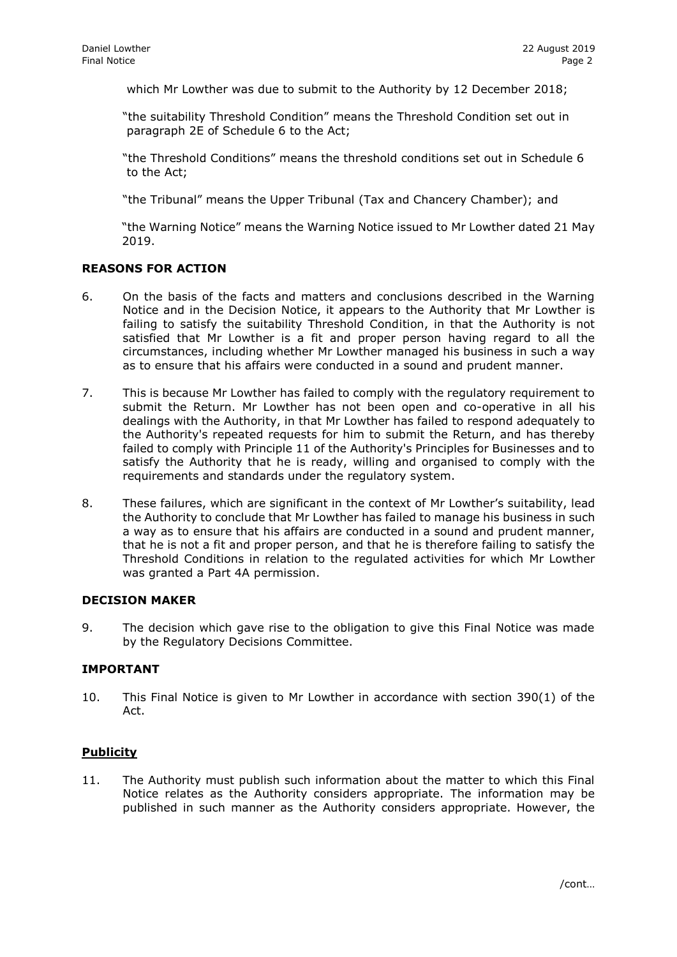which Mr Lowther was due to submit to the Authority by 12 December 2018;

"the suitability Threshold Condition" means the Threshold Condition set out in paragraph 2E of Schedule 6 to the Act;

"the Threshold Conditions" means the threshold conditions set out in Schedule 6 to the Act;

"the Tribunal" means the Upper Tribunal (Tax and Chancery Chamber); and

"the Warning Notice" means the Warning Notice issued to Mr Lowther dated 21 May 2019.

## **REASONS FOR ACTION**

- 6. On the basis of the facts and matters and conclusions described in the Warning Notice and in the Decision Notice, it appears to the Authority that Mr Lowther is failing to satisfy the suitability Threshold Condition, in that the Authority is not satisfied that Mr Lowther is a fit and proper person having regard to all the circumstances, including whether Mr Lowther managed his business in such a way as to ensure that his affairs were conducted in a sound and prudent manner.
- 7. This is because Mr Lowther has failed to comply with the regulatory requirement to submit the Return. Mr Lowther has not been open and co-operative in all his dealings with the Authority, in that Mr Lowther has failed to respond adequately to the Authority's repeated requests for him to submit the Return, and has thereby failed to comply with Principle 11 of the Authority's Principles for Businesses and to satisfy the Authority that he is ready, willing and organised to comply with the requirements and standards under the regulatory system.
- 8. These failures, which are significant in the context of Mr Lowther's suitability, lead the Authority to conclude that Mr Lowther has failed to manage his business in such a way as to ensure that his affairs are conducted in a sound and prudent manner, that he is not a fit and proper person, and that he is therefore failing to satisfy the Threshold Conditions in relation to the regulated activities for which Mr Lowther was granted a Part 4A permission.

#### **DECISION MAKER**

9. The decision which gave rise to the obligation to give this Final Notice was made by the Regulatory Decisions Committee.

## **IMPORTANT**

10. This Final Notice is given to Mr Lowther in accordance with section 390(1) of the Act.

## **Publicity**

11. The Authority must publish such information about the matter to which this Final Notice relates as the Authority considers appropriate. The information may be published in such manner as the Authority considers appropriate. However, the